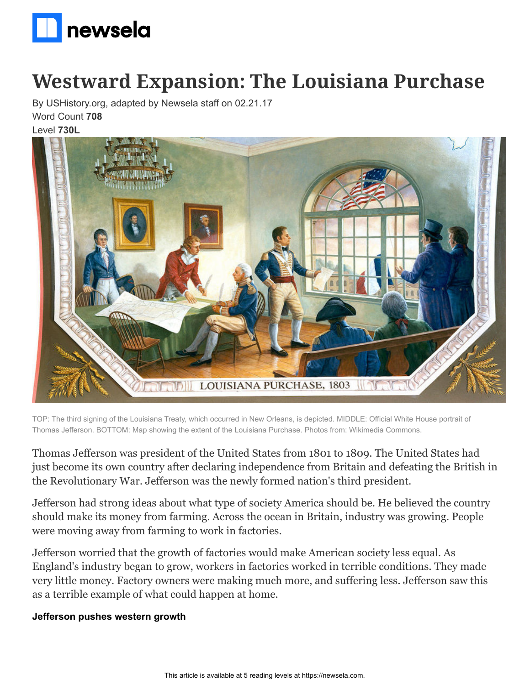

# **Westward Expansion: The Louisiana Purchase**

By USHistory.org, adapted by Newsela staff on 02.21.17 Word Count **708**

### Level **730L**



TOP: The third signing of the Louisiana Treaty, which occurred in New Orleans, is depicted. MIDDLE: Official White House portrait of Thomas Jefferson. BOTTOM: Map showing the extent of the Louisiana Purchase. Photos from: Wikimedia Commons.

Thomas Jefferson was president of the United States from 1801 to 1809. The United States had just become its own country after declaring independence from Britain and defeating the British in the Revolutionary War. Jefferson was the newly formed nation's third president.

Jefferson had strong ideas about what type of society America should be. He believed the country should make its money from farming. Across the ocean in Britain, industry was growing. People were moving away from farming to work in factories.

Jefferson worried that the growth of factories would make American society less equal. As England's industry began to grow, workers in factories worked in terrible conditions. They made very little money. Factory owners were making much more, and suffering less. Jefferson saw this as a terrible example of what could happen at home.

#### **Jefferson pushes western growth**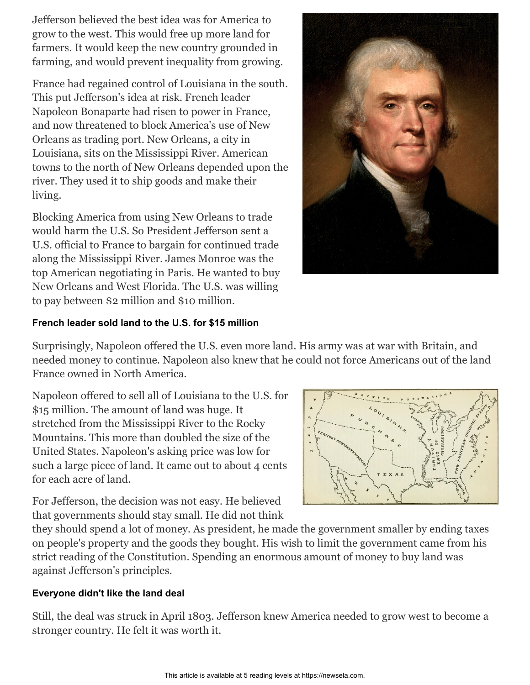Jefferson believed the best idea was for America to grow to the west. This would free up more land for farmers. It would keep the new country grounded in farming, and would prevent inequality from growing.

France had regained control of Louisiana in the south. This put Jefferson's idea at risk. French leader Napoleon Bonaparte had risen to power in France, and now threatened to block America's use of New Orleans as trading port. New Orleans, a city in Louisiana, sits on the Mississippi River. American towns to the north of New Orleans depended upon the river. They used it to ship goods and make their living.

Blocking America from using New Orleans to trade would harm the U.S. So President Jefferson sent a U.S. official to France to bargain for continued trade along the Mississippi River. James Monroe was the top American negotiating in Paris. He wanted to buy New Orleans and West Florida. The U.S. was willing to pay between \$2 million and \$10 million.



# **French leader sold land to the U.S. for \$15 million**

Surprisingly, Napoleon offered the U.S. even more land. His army was at war with Britain, and needed money to continue. Napoleon also knew that he could not force Americans out of the land France owned in North America.

Napoleon offered to sell all of Louisiana to the U.S. for \$15 million. The amount of land was huge. It stretched from the Mississippi River to the Rocky Mountains. This more than doubled the size of the United States. Napoleon's asking price was low for such a large piece of land. It came out to about 4 cents for each acre of land.



For Jefferson, the decision was not easy. He believed that governments should stay small. He did not think

they should spend a lot of money. As president, he made the government smaller by ending taxes on people's property and the goods they bought. His wish to limit the government came from his strict reading of the Constitution. Spending an enormous amount of money to buy land was against Jefferson's principles.

# **Everyone didn't like the land deal**

Still, the deal was struck in April 1803. Jefferson knew America needed to grow west to become a stronger country. He felt it was worth it.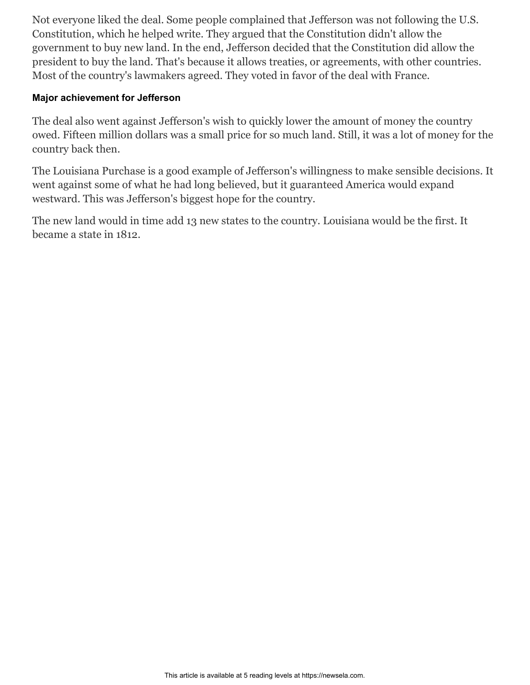Not everyone liked the deal. Some people complained that Jefferson was not following the U.S. Constitution, which he helped write. They argued that the Constitution didn't allow the government to buy new land. In the end, Jefferson decided that the Constitution did allow the president to buy the land. That's because it allows treaties, or agreements, with other countries. Most of the country's lawmakers agreed. They voted in favor of the deal with France.

## **Major achievement for Jefferson**

The deal also went against Jefferson's wish to quickly lower the amount of money the country owed. Fifteen million dollars was a small price for so much land. Still, it was a lot of money for the country back then.

The Louisiana Purchase is a good example of Jefferson's willingness to make sensible decisions. It went against some of what he had long believed, but it guaranteed America would expand westward. This was Jefferson's biggest hope for the country.

The new land would in time add 13 new states to the country. Louisiana would be the first. It became a state in 1812.